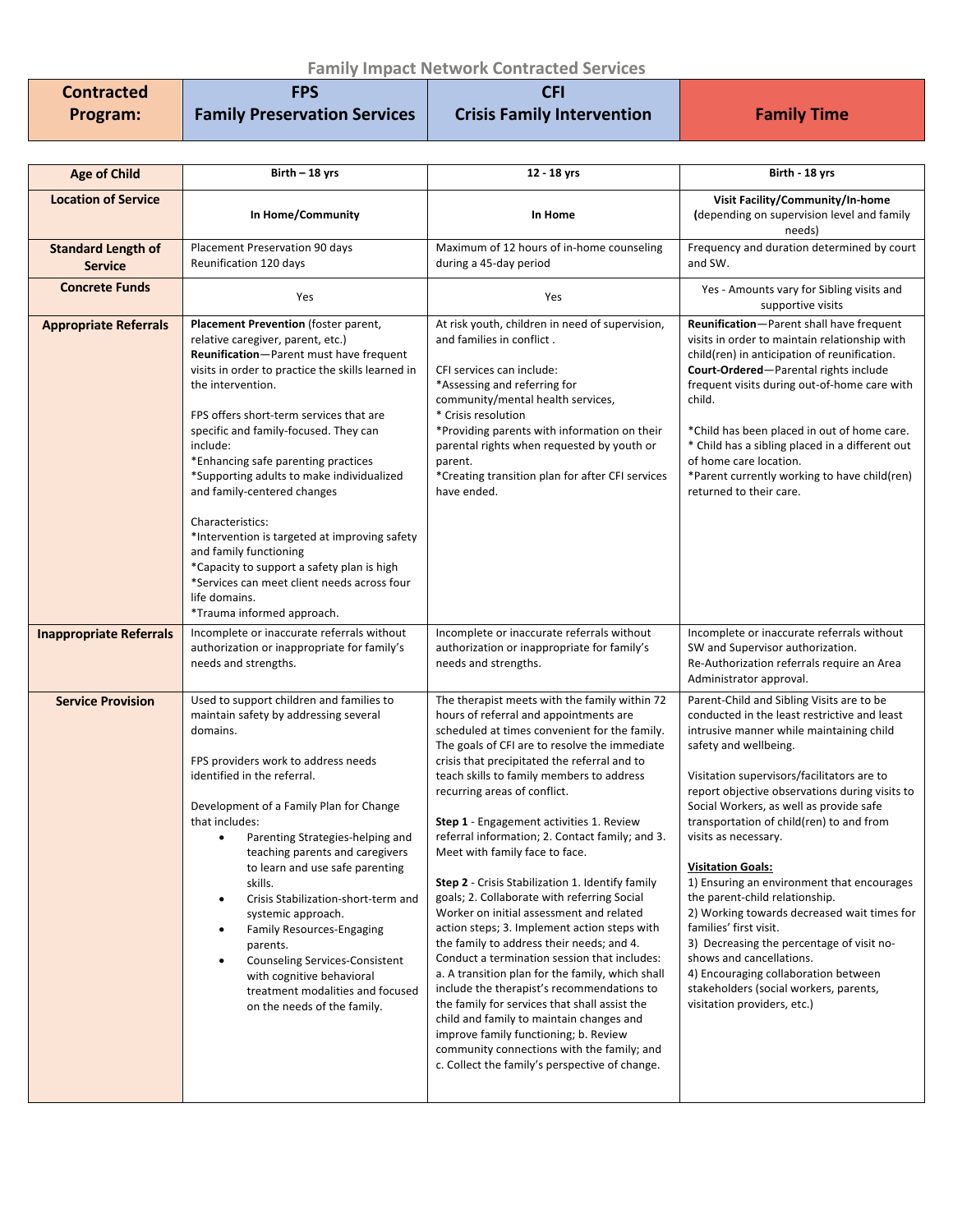## **Family Impact Network Contracted Services**

| <b>Contracted</b> | <b>FPS</b>                          |                                   |                    |
|-------------------|-------------------------------------|-----------------------------------|--------------------|
| Program:          | <b>Family Preservation Services</b> | <b>Crisis Family Intervention</b> | <b>Family Time</b> |

| <b>Age of Child</b>                         | Birth - 18 yrs                                                                                                                                                                                                                                                                                                                                                                                                                                                                                                                                                                                                                                               | 12 - 18 yrs                                                                                                                                                                                                                                                                                                                                                                                                                                                                                                                                                                                                                                                                                                                                                                                                                                                                                                                                                                                                                                                                                        | Birth - 18 yrs                                                                                                                                                                                                                                                                                                                                                                                                                                                                                                                                                                                                                                                                                                                                               |
|---------------------------------------------|--------------------------------------------------------------------------------------------------------------------------------------------------------------------------------------------------------------------------------------------------------------------------------------------------------------------------------------------------------------------------------------------------------------------------------------------------------------------------------------------------------------------------------------------------------------------------------------------------------------------------------------------------------------|----------------------------------------------------------------------------------------------------------------------------------------------------------------------------------------------------------------------------------------------------------------------------------------------------------------------------------------------------------------------------------------------------------------------------------------------------------------------------------------------------------------------------------------------------------------------------------------------------------------------------------------------------------------------------------------------------------------------------------------------------------------------------------------------------------------------------------------------------------------------------------------------------------------------------------------------------------------------------------------------------------------------------------------------------------------------------------------------------|--------------------------------------------------------------------------------------------------------------------------------------------------------------------------------------------------------------------------------------------------------------------------------------------------------------------------------------------------------------------------------------------------------------------------------------------------------------------------------------------------------------------------------------------------------------------------------------------------------------------------------------------------------------------------------------------------------------------------------------------------------------|
| <b>Location of Service</b>                  | In Home/Community                                                                                                                                                                                                                                                                                                                                                                                                                                                                                                                                                                                                                                            | In Home                                                                                                                                                                                                                                                                                                                                                                                                                                                                                                                                                                                                                                                                                                                                                                                                                                                                                                                                                                                                                                                                                            | Visit Facility/Community/In-home<br>(depending on supervision level and family<br>needs)                                                                                                                                                                                                                                                                                                                                                                                                                                                                                                                                                                                                                                                                     |
| <b>Standard Length of</b><br><b>Service</b> | Placement Preservation 90 days<br>Reunification 120 days                                                                                                                                                                                                                                                                                                                                                                                                                                                                                                                                                                                                     | Maximum of 12 hours of in-home counseling<br>during a 45-day period                                                                                                                                                                                                                                                                                                                                                                                                                                                                                                                                                                                                                                                                                                                                                                                                                                                                                                                                                                                                                                | Frequency and duration determined by court<br>and SW.                                                                                                                                                                                                                                                                                                                                                                                                                                                                                                                                                                                                                                                                                                        |
| <b>Concrete Funds</b>                       | Yes                                                                                                                                                                                                                                                                                                                                                                                                                                                                                                                                                                                                                                                          | Yes                                                                                                                                                                                                                                                                                                                                                                                                                                                                                                                                                                                                                                                                                                                                                                                                                                                                                                                                                                                                                                                                                                | Yes - Amounts vary for Sibling visits and<br>supportive visits                                                                                                                                                                                                                                                                                                                                                                                                                                                                                                                                                                                                                                                                                               |
| <b>Appropriate Referrals</b>                | Placement Prevention (foster parent,<br>relative caregiver, parent, etc.)<br>Reunification-Parent must have frequent<br>visits in order to practice the skills learned in<br>the intervention.<br>FPS offers short-term services that are<br>specific and family-focused. They can<br>include:<br>*Enhancing safe parenting practices<br>*Supporting adults to make individualized<br>and family-centered changes<br>Characteristics:<br>*Intervention is targeted at improving safety<br>and family functioning<br>*Capacity to support a safety plan is high<br>*Services can meet client needs across four<br>life domains.<br>*Trauma informed approach. | At risk youth, children in need of supervision,<br>and families in conflict.<br>CFI services can include:<br>*Assessing and referring for<br>community/mental health services,<br>* Crisis resolution<br>*Providing parents with information on their<br>parental rights when requested by youth or<br>parent.<br>*Creating transition plan for after CFI services<br>have ended.                                                                                                                                                                                                                                                                                                                                                                                                                                                                                                                                                                                                                                                                                                                  | Reunification-Parent shall have frequent<br>visits in order to maintain relationship with<br>child(ren) in anticipation of reunification.<br>Court-Ordered-Parental rights include<br>frequent visits during out-of-home care with<br>child.<br>*Child has been placed in out of home care.<br>* Child has a sibling placed in a different out<br>of home care location.<br>*Parent currently working to have child(ren)<br>returned to their care.                                                                                                                                                                                                                                                                                                          |
| <b>Inappropriate Referrals</b>              | Incomplete or inaccurate referrals without<br>authorization or inappropriate for family's<br>needs and strengths.                                                                                                                                                                                                                                                                                                                                                                                                                                                                                                                                            | Incomplete or inaccurate referrals without<br>authorization or inappropriate for family's<br>needs and strengths.                                                                                                                                                                                                                                                                                                                                                                                                                                                                                                                                                                                                                                                                                                                                                                                                                                                                                                                                                                                  | Incomplete or inaccurate referrals without<br>SW and Supervisor authorization.<br>Re-Authorization referrals require an Area<br>Administrator approval.                                                                                                                                                                                                                                                                                                                                                                                                                                                                                                                                                                                                      |
| <b>Service Provision</b>                    | Used to support children and families to<br>maintain safety by addressing several<br>domains.<br>FPS providers work to address needs<br>identified in the referral.<br>Development of a Family Plan for Change<br>that includes:<br>Parenting Strategies-helping and<br>teaching parents and caregivers<br>to learn and use safe parenting<br>skills.<br>Crisis Stabilization-short-term and<br>systemic approach.<br><b>Family Resources-Engaging</b><br>parents.<br><b>Counseling Services-Consistent</b><br>with cognitive behavioral<br>treatment modalities and focused<br>on the needs of the family.                                                  | The therapist meets with the family within 72<br>hours of referral and appointments are<br>scheduled at times convenient for the family.<br>The goals of CFI are to resolve the immediate<br>crisis that precipitated the referral and to<br>teach skills to family members to address<br>recurring areas of conflict.<br>Step 1 - Engagement activities 1. Review<br>referral information; 2. Contact family; and 3.<br>Meet with family face to face.<br><b>Step 2</b> - Crisis Stabilization 1. Identify family<br>goals; 2. Collaborate with referring Social<br>Worker on initial assessment and related<br>action steps; 3. Implement action steps with<br>the family to address their needs; and 4.<br>Conduct a termination session that includes:<br>a. A transition plan for the family, which shall<br>include the therapist's recommendations to<br>the family for services that shall assist the<br>child and family to maintain changes and<br>improve family functioning; b. Review<br>community connections with the family; and<br>c. Collect the family's perspective of change. | Parent-Child and Sibling Visits are to be<br>conducted in the least restrictive and least<br>intrusive manner while maintaining child<br>safety and wellbeing.<br>Visitation supervisors/facilitators are to<br>report objective observations during visits to<br>Social Workers, as well as provide safe<br>transportation of child(ren) to and from<br>visits as necessary.<br><b>Visitation Goals:</b><br>1) Ensuring an environment that encourages<br>the parent-child relationship.<br>2) Working towards decreased wait times for<br>families' first visit.<br>3) Decreasing the percentage of visit no-<br>shows and cancellations.<br>4) Encouraging collaboration between<br>stakeholders (social workers, parents,<br>visitation providers, etc.) |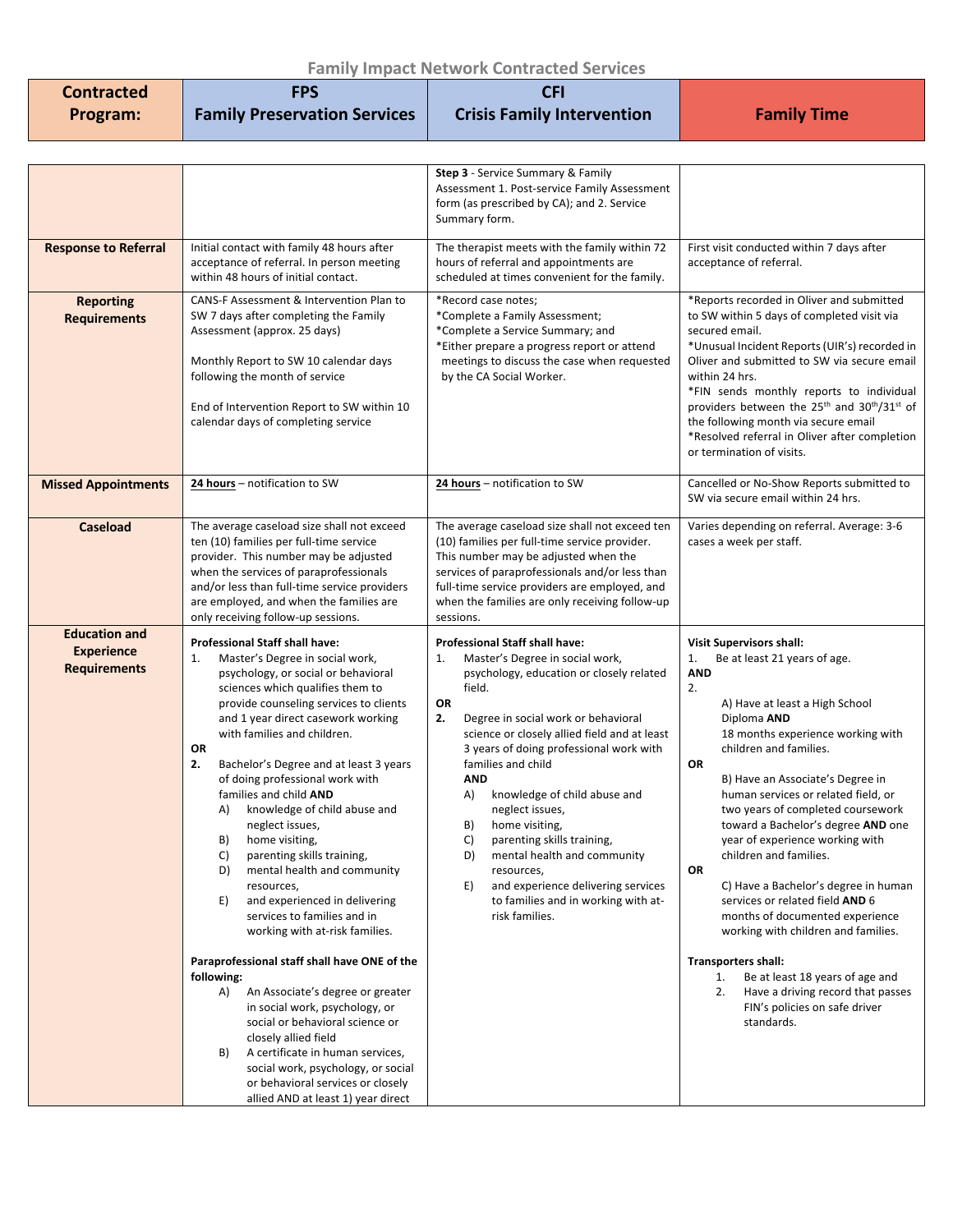## **Family Impact Network Contracted Services**

| .          |                                     |                                   |                    |
|------------|-------------------------------------|-----------------------------------|--------------------|
| Contracted | <b>FPS</b>                          |                                   |                    |
| Program:   | <b>Family Preservation Services</b> | <b>Crisis Family Intervention</b> | <b>Family Time</b> |

|                                                                  |                                                                                                                                                                                                                                                                                                                                                                                                                                                                                                                                                                                                                                                                                                                                                                                                                                                                                                                                                                                                                                             | Step 3 - Service Summary & Family<br>Assessment 1. Post-service Family Assessment<br>form (as prescribed by CA); and 2. Service<br>Summary form.                                                                                                                                                                                                                                                                                                                                                                                                                                                           |                                                                                                                                                                                                                                                                                                                                                                                                                                                                                                                                                                                                                                                                                                                                                                       |
|------------------------------------------------------------------|---------------------------------------------------------------------------------------------------------------------------------------------------------------------------------------------------------------------------------------------------------------------------------------------------------------------------------------------------------------------------------------------------------------------------------------------------------------------------------------------------------------------------------------------------------------------------------------------------------------------------------------------------------------------------------------------------------------------------------------------------------------------------------------------------------------------------------------------------------------------------------------------------------------------------------------------------------------------------------------------------------------------------------------------|------------------------------------------------------------------------------------------------------------------------------------------------------------------------------------------------------------------------------------------------------------------------------------------------------------------------------------------------------------------------------------------------------------------------------------------------------------------------------------------------------------------------------------------------------------------------------------------------------------|-----------------------------------------------------------------------------------------------------------------------------------------------------------------------------------------------------------------------------------------------------------------------------------------------------------------------------------------------------------------------------------------------------------------------------------------------------------------------------------------------------------------------------------------------------------------------------------------------------------------------------------------------------------------------------------------------------------------------------------------------------------------------|
| <b>Response to Referral</b>                                      | Initial contact with family 48 hours after<br>acceptance of referral. In person meeting<br>within 48 hours of initial contact.                                                                                                                                                                                                                                                                                                                                                                                                                                                                                                                                                                                                                                                                                                                                                                                                                                                                                                              | The therapist meets with the family within 72<br>hours of referral and appointments are<br>scheduled at times convenient for the family.                                                                                                                                                                                                                                                                                                                                                                                                                                                                   | First visit conducted within 7 days after<br>acceptance of referral.                                                                                                                                                                                                                                                                                                                                                                                                                                                                                                                                                                                                                                                                                                  |
| <b>Reporting</b><br><b>Requirements</b>                          | CANS-F Assessment & Intervention Plan to<br>SW 7 days after completing the Family<br>Assessment (approx. 25 days)<br>Monthly Report to SW 10 calendar days<br>following the month of service<br>End of Intervention Report to SW within 10<br>calendar days of completing service                                                                                                                                                                                                                                                                                                                                                                                                                                                                                                                                                                                                                                                                                                                                                           | *Record case notes;<br>*Complete a Family Assessment;<br>*Complete a Service Summary; and<br>*Either prepare a progress report or attend<br>meetings to discuss the case when requested<br>by the CA Social Worker.                                                                                                                                                                                                                                                                                                                                                                                        | *Reports recorded in Oliver and submitted<br>to SW within 5 days of completed visit via<br>secured email.<br>*Unusual Incident Reports (UIR's) recorded in<br>Oliver and submitted to SW via secure email<br>within 24 hrs.<br>*FIN sends monthly reports to individual<br>providers between the 25 <sup>th</sup> and 30 <sup>th</sup> /31 <sup>st</sup> of<br>the following month via secure email<br>*Resolved referral in Oliver after completion<br>or termination of visits.                                                                                                                                                                                                                                                                                     |
| <b>Missed Appointments</b>                                       | 24 hours - notification to SW                                                                                                                                                                                                                                                                                                                                                                                                                                                                                                                                                                                                                                                                                                                                                                                                                                                                                                                                                                                                               | 24 hours - notification to SW                                                                                                                                                                                                                                                                                                                                                                                                                                                                                                                                                                              | Cancelled or No-Show Reports submitted to<br>SW via secure email within 24 hrs.                                                                                                                                                                                                                                                                                                                                                                                                                                                                                                                                                                                                                                                                                       |
| Caseload                                                         | The average caseload size shall not exceed<br>ten (10) families per full-time service<br>provider. This number may be adjusted<br>when the services of paraprofessionals<br>and/or less than full-time service providers<br>are employed, and when the families are<br>only receiving follow-up sessions.                                                                                                                                                                                                                                                                                                                                                                                                                                                                                                                                                                                                                                                                                                                                   | The average caseload size shall not exceed ten<br>(10) families per full-time service provider.<br>This number may be adjusted when the<br>services of paraprofessionals and/or less than<br>full-time service providers are employed, and<br>when the families are only receiving follow-up<br>sessions.                                                                                                                                                                                                                                                                                                  | Varies depending on referral. Average: 3-6<br>cases a week per staff.                                                                                                                                                                                                                                                                                                                                                                                                                                                                                                                                                                                                                                                                                                 |
| <b>Education and</b><br><b>Experience</b><br><b>Requirements</b> | <b>Professional Staff shall have:</b><br>Master's Degree in social work,<br>1.<br>psychology, or social or behavioral<br>sciences which qualifies them to<br>provide counseling services to clients<br>and 1 year direct casework working<br>with families and children.<br>OR<br>2.<br>Bachelor's Degree and at least 3 years<br>of doing professional work with<br>families and child AND<br>knowledge of child abuse and<br>A)<br>neglect issues,<br>home visiting,<br>B)<br>C)<br>parenting skills training,<br>D)<br>mental health and community<br>resources,<br>and experienced in delivering<br>E)<br>services to families and in<br>working with at-risk families.<br>Paraprofessional staff shall have ONE of the<br>following:<br>A)<br>An Associate's degree or greater<br>in social work, psychology, or<br>social or behavioral science or<br>closely allied field<br>A certificate in human services,<br>B)<br>social work, psychology, or social<br>or behavioral services or closely<br>allied AND at least 1) year direct | <b>Professional Staff shall have:</b><br>Master's Degree in social work,<br>1.<br>psychology, education or closely related<br>field.<br><b>OR</b><br>2.<br>Degree in social work or behavioral<br>science or closely allied field and at least<br>3 years of doing professional work with<br>families and child<br><b>AND</b><br>knowledge of child abuse and<br>A)<br>neglect issues,<br>home visiting,<br>B)<br>C)<br>parenting skills training,<br>D)<br>mental health and community<br>resources,<br>E)<br>and experience delivering services<br>to families and in working with at-<br>risk families. | <b>Visit Supervisors shall:</b><br>Be at least 21 years of age.<br>1.<br><b>AND</b><br>2.<br>A) Have at least a High School<br>Diploma AND<br>18 months experience working with<br>children and families.<br><b>OR</b><br>B) Have an Associate's Degree in<br>human services or related field, or<br>two years of completed coursework<br>toward a Bachelor's degree AND one<br>year of experience working with<br>children and families.<br>OR<br>C) Have a Bachelor's degree in human<br>services or related field AND 6<br>months of documented experience<br>working with children and families.<br><b>Transporters shall:</b><br>Be at least 18 years of age and<br>1.<br>Have a driving record that passes<br>2.<br>FIN's policies on safe driver<br>standards. |